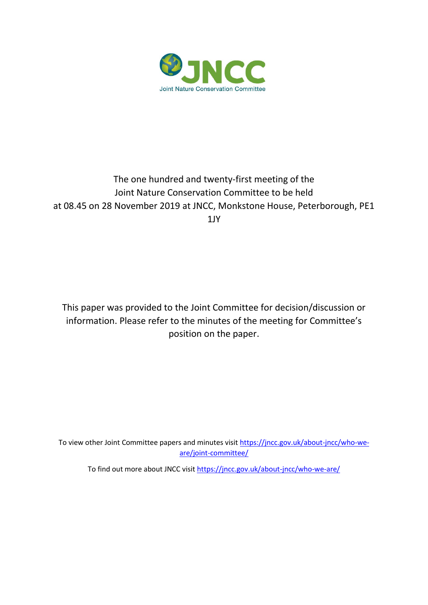

## The one hundred and twenty-first meeting of the Joint Nature Conservation Committee to be held at 08.45 on 28 November 2019 at JNCC, Monkstone House, Peterborough, PE1 1JY

This paper was provided to the Joint Committee for decision/discussion or information. Please refer to the minutes of the meeting for Committee's position on the paper.

To view other Joint Committee papers and minutes visi[t https://jncc.gov.uk/about-jncc/who-we](https://jncc.gov.uk/about-jncc/who-we-are/joint-committee/)[are/joint-committee/](https://jncc.gov.uk/about-jncc/who-we-are/joint-committee/)

To find out more about JNCC visit<https://jncc.gov.uk/about-jncc/who-we-are/>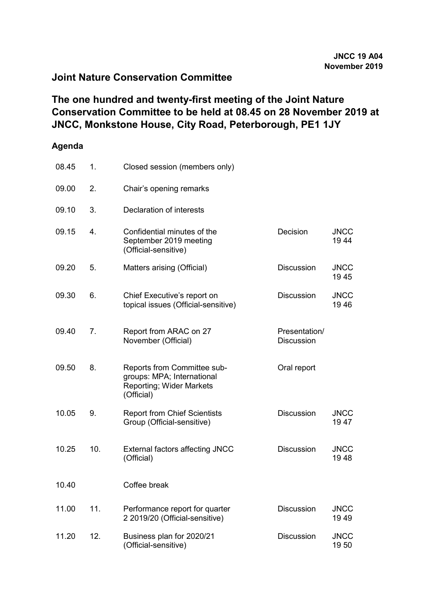## **Joint Nature Conservation Committee**

## **The one hundred and twenty-first meeting of the Joint Nature Conservation Committee to be held at 08.45 on 28 November 2019 at JNCC, Monkstone House, City Road, Peterborough, PE1 1JY**

## **Agenda**

| 08.45 | 1.  | Closed session (members only)                                                                              |                                    |                     |
|-------|-----|------------------------------------------------------------------------------------------------------------|------------------------------------|---------------------|
| 09.00 | 2.  | Chair's opening remarks                                                                                    |                                    |                     |
| 09.10 | 3.  | Declaration of interests                                                                                   |                                    |                     |
| 09.15 | 4.  | Confidential minutes of the<br>September 2019 meeting<br>(Official-sensitive)                              | Decision                           | <b>JNCC</b><br>1944 |
| 09.20 | 5.  | Matters arising (Official)                                                                                 | <b>Discussion</b>                  | <b>JNCC</b><br>1945 |
| 09.30 | 6.  | Chief Executive's report on<br>topical issues (Official-sensitive)                                         | <b>Discussion</b>                  | <b>JNCC</b><br>1946 |
| 09.40 | 7.  | Report from ARAC on 27<br>November (Official)                                                              | Presentation/<br><b>Discussion</b> |                     |
| 09.50 | 8.  | Reports from Committee sub-<br>groups: MPA; International<br><b>Reporting; Wider Markets</b><br>(Official) | Oral report                        |                     |
| 10.05 | 9.  | <b>Report from Chief Scientists</b><br>Group (Official-sensitive)                                          | <b>Discussion</b>                  | <b>JNCC</b><br>1947 |
| 10.25 | 10. | <b>External factors affecting JNCC</b><br>(Official)                                                       | <b>Discussion</b>                  | <b>JNCC</b><br>1948 |
| 10.40 |     | Coffee break                                                                                               |                                    |                     |
| 11.00 | 11. | Performance report for quarter<br>2 2019/20 (Official-sensitive)                                           | <b>Discussion</b>                  | <b>JNCC</b><br>1949 |
| 11.20 | 12. | Business plan for 2020/21<br>(Official-sensitive)                                                          | <b>Discussion</b>                  | <b>JNCC</b><br>1950 |